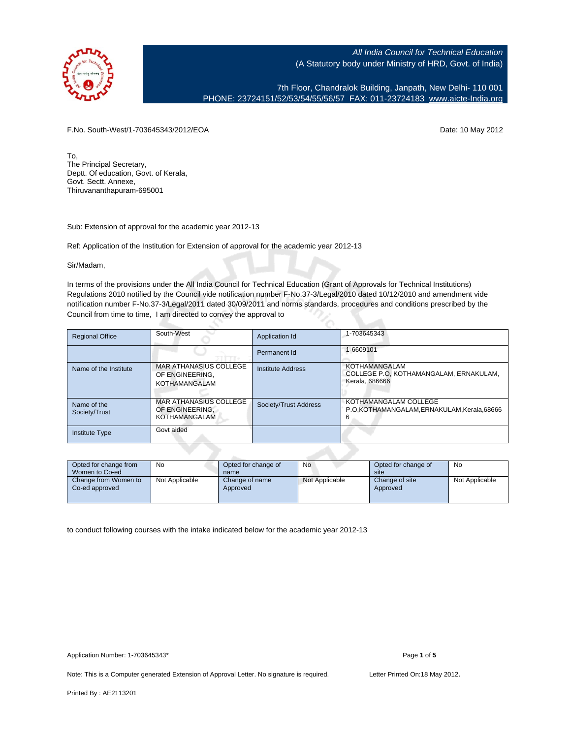

7th Floor, Chandralok Building, Janpath, New Delhi- 110 001 PHONE: 23724151/52/53/54/55/56/57 FAX: 011-23724183 [www.aicte-India.org](http://www.aicte-India.org)

F.No. South-West/1-703645343/2012/EOA Date: 10 May 2012

To, The Principal Secretary, Deptt. Of education, Govt. of Kerala, Govt. Sectt. Annexe, Thiruvananthapuram-695001

Sub: Extension of approval for the academic year 2012-13

Ref: Application of the Institution for Extension of approval for the academic year 2012-13

Sir/Madam,

In terms of the provisions under the All India Council for Technical Education (Grant of Approvals for Technical Institutions) Regulations 2010 notified by the Council vide notification number F-No.37-3/Legal/2010 dated 10/12/2010 and amendment vide notification number F-No.37-3/Legal/2011 dated 30/09/2011 and norms standards, procedures and conditions prescribed by the Council from time to time, I am directed to convey the approval to

| <b>Regional Office</b>       | South-West                                                               | Application Id        | 1-703645343                                                                      |
|------------------------------|--------------------------------------------------------------------------|-----------------------|----------------------------------------------------------------------------------|
|                              |                                                                          | Permanent Id          | 1-6609101                                                                        |
| Name of the Institute        | MAR ATHANASIUS COLLEGE<br>OF ENGINEERING.<br><b>KOTHAMANGALAM</b>        | Institute Address     | <b>KOTHAMANGALAM</b><br>COLLEGE P.O. KOTHAMANGALAM. ERNAKULAM.<br>Kerala, 686666 |
| Name of the<br>Society/Trust | <b>MAR ATHANASIUS COLLEGE</b><br>OF ENGINEERING.<br><b>KOTHAMANGALAM</b> | Society/Trust Address | KOTHAMANGALAM COLLEGE<br>P.O.KOTHAMANGALAM,ERNAKULAM,Kerala,68666<br>n           |
| <b>Institute Type</b>        | Govt aided                                                               |                       |                                                                                  |

| Opted for change from<br>Women to Co-ed | No             | Opted for change of<br>name | No             | Opted for change of<br>site | No             |
|-----------------------------------------|----------------|-----------------------------|----------------|-----------------------------|----------------|
| Change from Women to<br>Co-ed approved  | Not Applicable | Change of name<br>Approved  | Not Applicable | Change of site<br>Approved  | Not Applicable |

to conduct following courses with the intake indicated below for the academic year 2012-13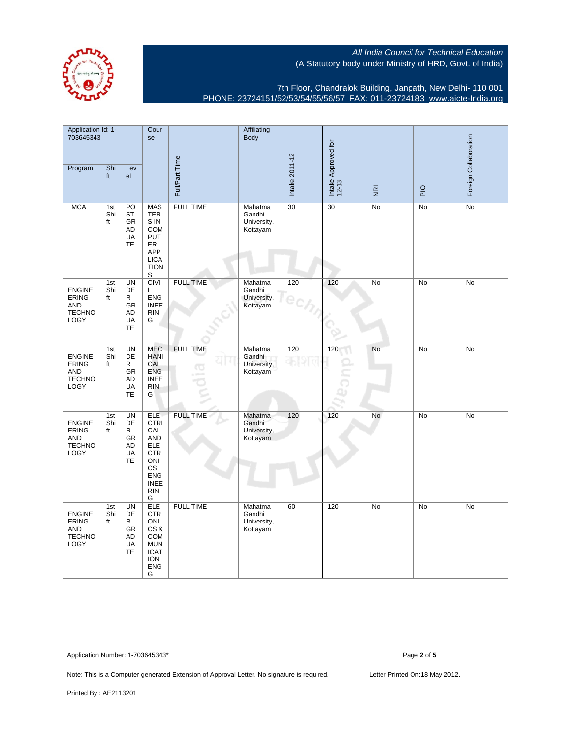7th Floor, Chandralok Building, Janpath, New Delhi- 110 001 PHONE: 23724151/52/53/54/55/56/57 FAX: 011-23724183 [www.aicte-India.org](http://www.aicte-India.org)

| Application Id: 1-<br>703645343                                             |                  | Cour<br>se                                                        |                                                                                                                                                | Affiliating<br>Body     |                                              |                |                              |                         | Foreign Collaboration |           |
|-----------------------------------------------------------------------------|------------------|-------------------------------------------------------------------|------------------------------------------------------------------------------------------------------------------------------------------------|-------------------------|----------------------------------------------|----------------|------------------------------|-------------------------|-----------------------|-----------|
| Program                                                                     | Shi<br>ft        | Lev<br>el                                                         |                                                                                                                                                | Full/Part Time          |                                              | Intake 2011-12 | Intake Approved for<br>12-13 | $\overline{\mathbf{g}}$ | $rac{Q}{P}$           |           |
| <b>MCA</b>                                                                  | 1st<br>Shi<br>ft | PO<br>ST<br>GR<br>AD<br>UA<br>TE                                  | <b>MAS</b><br><b>TER</b><br>S IN<br><b>COM</b><br><b>PUT</b><br>ER<br>APP<br><b>LICA</b><br><b>TION</b><br>S                                   | <b>FULL TIME</b>        | Mahatma<br>Gandhi<br>University,<br>Kottayam | 30             | 30                           | No                      | No                    | No        |
| <b>ENGINE</b><br><b>ERING</b><br><b>AND</b><br><b>TECHNO</b><br>LOGY        | 1st<br>Shi<br>ft | <b>UN</b><br>DE<br>R<br><b>GR</b><br>AD<br><b>UA</b><br><b>TE</b> | <b>CIVI</b><br>Г<br><b>ENG</b><br><b>INEE</b><br><b>RIN</b><br>G                                                                               | <b>FULL TIME</b>        | Mahatma<br>Gandhi<br>University,<br>Kottayam | 120            | 120                          | No                      | <b>No</b>             | <b>No</b> |
| <b>ENGINE</b><br><b>ERING</b><br><b>AND</b><br><b>TECHNO</b><br><b>LOGY</b> | 1st<br>Shi<br>ft | <b>UN</b><br>DE<br>R<br>GR<br>AD<br>UA<br><b>TE</b>               | <b>MEC</b><br><b>HANI</b><br>CAL<br><b>ENG</b><br><b>INEE</b><br><b>RIN</b><br>G                                                               | <b>FULL TIME</b><br>CG. | Mahatma<br>Gandhi<br>University,<br>Kottayam | 120            | 120                          | No                      | No                    | No        |
| <b>ENGINE</b><br><b>ERING</b><br><b>AND</b><br><b>TECHNO</b><br>LOGY        | 1st<br>Shi<br>ft | <b>UN</b><br>DE<br>R<br>GR<br>AD<br>UA<br>TE                      | <b>ELE</b><br><b>CTRI</b><br>CAL<br><b>AND</b><br><b>ELE</b><br><b>CTR</b><br>ONI<br><b>CS</b><br><b>ENG</b><br><b>INEE</b><br><b>RIN</b><br>G | <b>FULL TIME</b>        | Mahatma<br>Gandhi<br>University,<br>Kottayam | 120            | 120                          | No                      | No                    | No        |
| <b>ENGINE</b><br><b>ERING</b><br><b>AND</b><br><b>TECHNO</b><br>LOGY        | 1st<br>Shi<br>ft | <b>UN</b><br><b>DE</b><br>R<br>GR<br>AD<br>UA<br><b>TE</b>        | <b>ELE</b><br><b>CTR</b><br>ONI<br>CS&<br>COM<br><b>MUN</b><br><b>ICAT</b><br><b>ION</b><br><b>ENG</b><br>G                                    | <b>FULL TIME</b>        | Mahatma<br>Gandhi<br>University,<br>Kottayam | 60             | 120                          | No                      | No                    | No        |

Application Number: 1-703645343\* Page **2** of **5**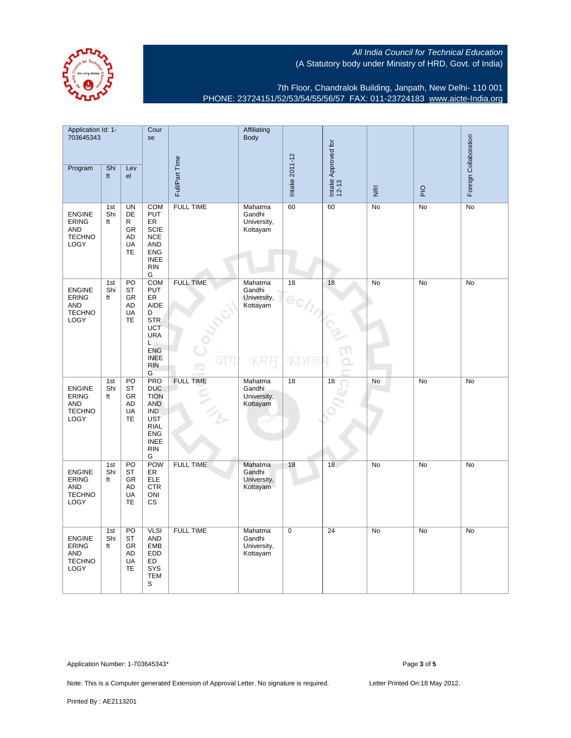

7th Floor, Chandralok Building, Janpath, New Delhi- 110 001 PHONE: 23724151/52/53/54/55/56/57 FAX: 011-23724183 [www.aicte-India.org](http://www.aicte-India.org)

| Application Id: 1-<br>703645343                                             |                  | Cour<br>se                                                         |                                                                                                                                                  | Affiliating<br><b>Body</b> |                                              |                |                              |                | Foreign Collaboration |           |
|-----------------------------------------------------------------------------|------------------|--------------------------------------------------------------------|--------------------------------------------------------------------------------------------------------------------------------------------------|----------------------------|----------------------------------------------|----------------|------------------------------|----------------|-----------------------|-----------|
| Program                                                                     | Shi<br>ft        | Lev<br>el                                                          |                                                                                                                                                  | Full/Part Time             |                                              | Intake 2011-12 | Intake Approved for<br>12-13 | $\overline{g}$ | $\overline{P}$        |           |
| <b>ENGINE</b><br><b>ERING</b><br><b>AND</b><br><b>TECHNO</b><br>LOGY        | 1st<br>Shi<br>ft | <b>UN</b><br><b>DE</b><br>R<br>GR<br>AD<br>UA<br>TE                | <b>COM</b><br>PUT<br>ER<br><b>SCIE</b><br><b>NCE</b><br><b>AND</b><br><b>ENG</b><br><b>INEE</b><br><b>RIN</b><br>G                               | <b>FULL TIME</b>           | Mahatma<br>Gandhi<br>University,<br>Kottayam | 60             | 60                           | No             | No                    | <b>No</b> |
| <b>ENGINE</b><br><b>ERING</b><br><b>AND</b><br><b>TECHNO</b><br>LOGY        | 1st<br>Shi<br>ft | PO<br><b>ST</b><br>GR<br>AD<br>UA<br><b>TE</b>                     | <b>COM</b><br>PUT<br>ER<br>AIDE<br>D<br><b>STR</b><br>UCT<br><b>URA</b><br>Г<br><b>ENG</b><br><b>INEE</b><br><b>RIN</b><br>G                     | <b>FULL TIME</b>           | Mahatma<br>Gandhi<br>University,<br>Kottayam | 18             | 18                           | <b>No</b>      | <b>No</b>             | <b>No</b> |
| <b>ENGINE</b><br><b>ERING</b><br><b>AND</b><br><b>TECHNO</b><br>LOGY        | 1st<br>Shi<br>ft | PO<br><b>ST</b><br>GR<br><b>AD</b><br><b>UA</b><br><b>TE</b>       | <b>PRO</b><br><b>DUC</b><br><b>TION</b><br><b>AND</b><br><b>IND</b><br><b>UST</b><br><b>RIAL</b><br><b>ENG</b><br><b>INEE</b><br><b>RIN</b><br>G | <b>FULL TIME</b>           | Mahatma<br>Gandhi<br>University,<br>Kottayam | 18             | 18                           | No             | No                    | No        |
| <b>ENGINE</b><br><b>ERING</b><br><b>AND</b><br><b>TECHNO</b><br>LOGY        | 1st<br>Shi<br>ft | $\overline{PQ}$<br><b>ST</b><br><b>GR</b><br>AD<br>UA<br><b>TE</b> | POW<br>ER<br><b>ELE</b><br><b>CTR</b><br>ONI<br>CS                                                                                               | <b>FULL TIME</b>           | Mahatma<br>Gandhi<br>University,<br>Kottayam | 18             | 18                           | No             | No                    | No        |
| <b>ENGINE</b><br><b>ERING</b><br><b>AND</b><br><b>TECHNO</b><br><b>LOGY</b> | 1st<br>Shi<br>ft | $\overline{PO}$<br><b>ST</b><br><b>GR</b><br>AD<br>UA<br><b>TE</b> | <b>VLSI</b><br><b>AND</b><br><b>EMB</b><br><b>EDD</b><br>ED<br>SYS<br><b>TEM</b><br>S                                                            | <b>FULL TIME</b>           | Mahatma<br>Gandhi<br>University,<br>Kottayam | $\overline{0}$ | 24                           | No             | No                    | No        |

Application Number: 1-703645343\* Page **3** of **5**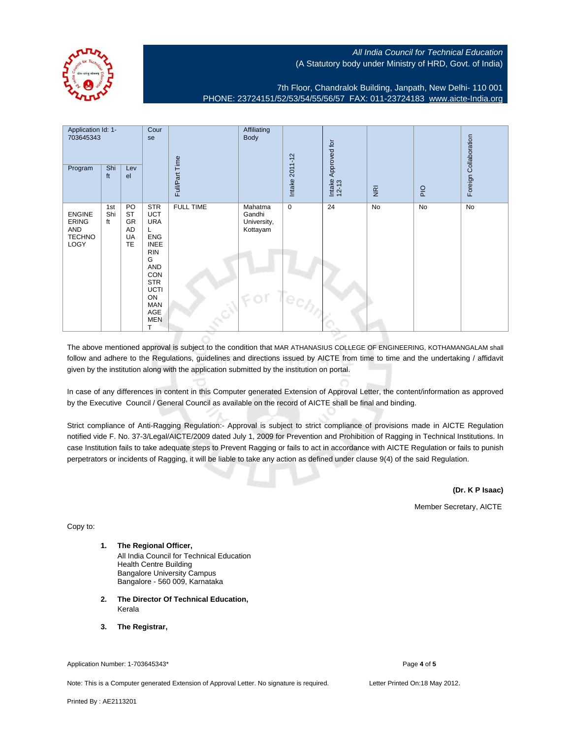

7th Floor, Chandralok Building, Janpath, New Delhi- 110 001 PHONE: 23724151/52/53/54/55/56/57 FAX: 011-23724183 [www.aicte-India.org](http://www.aicte-India.org)

| Application Id: 1-<br>703645343<br>Program                    | Shi<br>ft        | Lev<br>el                                      | Cour<br>se                                                                                                                                                                               | Full/Part Time   | Affiliating<br><b>Body</b>                          | Intake 2011-12                                            | Approved for<br>Intake | $\overline{\underline{\mathbf{g}}}$ | <b>PIO</b> | Foreign Collaboration |
|---------------------------------------------------------------|------------------|------------------------------------------------|------------------------------------------------------------------------------------------------------------------------------------------------------------------------------------------|------------------|-----------------------------------------------------|-----------------------------------------------------------|------------------------|-------------------------------------|------------|-----------------------|
| <b>ENGINE</b><br><b>ERING</b><br>AND<br><b>TECHNO</b><br>LOGY | 1st<br>Shi<br>ft | PO<br><b>ST</b><br>GR<br>AD<br>UA<br><b>TE</b> | <b>STR</b><br><b>UCT</b><br><b>URA</b><br>L<br><b>ENG</b><br><b>INEE</b><br><b>RIN</b><br>G<br>AND<br>CON<br><b>STR</b><br>UCTI<br>ON<br><b>MAN</b><br>AGE<br><b>MEN</b><br>$\mathsf{T}$ | <b>FULL TIME</b> | Mahatma<br>Gandhi<br>University,<br>Kottayam<br>FOI | $\mathbf 0$<br>$4e_{\mathcal{C}/\mathcal{A}/\mathcal{A}}$ | 24                     | No                                  | No         | No                    |

The above mentioned approval is subject to the condition that MAR ATHANASIUS COLLEGE OF ENGINEERING, KOTHAMANGALAM shall follow and adhere to the Regulations, guidelines and directions issued by AICTE from time to time and the undertaking / affidavit given by the institution along with the application submitted by the institution on portal.

In case of any differences in content in this Computer generated Extension of Approval Letter, the content/information as approved by the Executive Council / General Council as available on the record of AICTE shall be final and binding.

Strict compliance of Anti-Ragging Regulation:- Approval is subject to strict compliance of provisions made in AICTE Regulation notified vide F. No. 37-3/Legal/AICTE/2009 dated July 1, 2009 for Prevention and Prohibition of Ragging in Technical Institutions. In case Institution fails to take adequate steps to Prevent Ragging or fails to act in accordance with AICTE Regulation or fails to punish perpetrators or incidents of Ragging, it will be liable to take any action as defined under clause 9(4) of the said Regulation.

**(Dr. K P Isaac)**

Member Secretary, AICTE

Copy to:

- **1. The Regional Officer,** All India Council for Technical Education Health Centre Building Bangalore University Campus Bangalore - 560 009, Karnataka
- **2. The Director Of Technical Education,** Kerala
- **3. The Registrar,**

## Application Number: 1-703645343<sup>\*</sup> Page 4 of 5